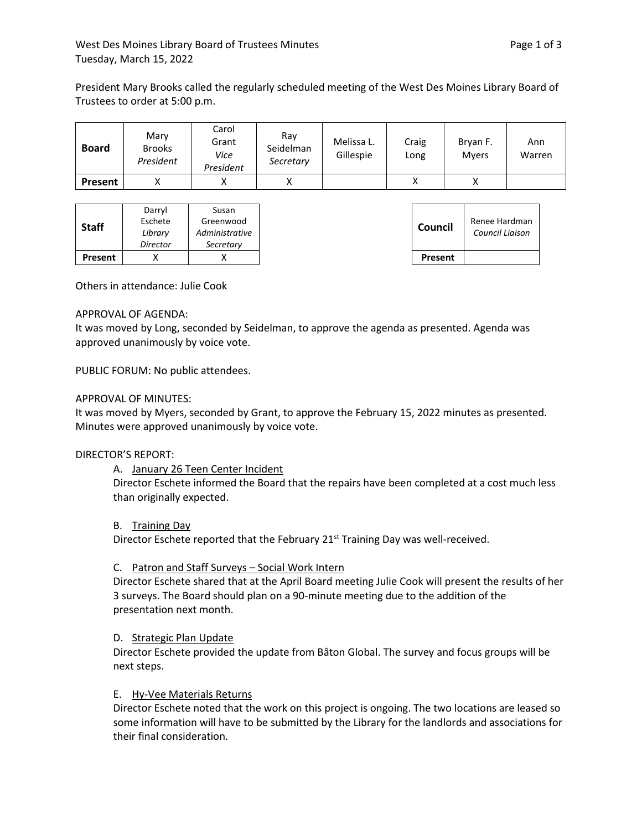President Mary Brooks called the regularly scheduled meeting of the West Des Moines Library Board of Trustees to order at 5:00 p.m.

| <b>Board</b>   | Marv<br><b>Brooks</b><br>President | Carol<br>Grant<br>Vice<br>President | Ray<br>Seidelman<br>Secretary | Melissa L.<br>Gillespie | Craig<br>Long | Bryan F.<br><b>Mvers</b> | Ann<br>Warren |
|----------------|------------------------------------|-------------------------------------|-------------------------------|-------------------------|---------------|--------------------------|---------------|
| <b>Present</b> |                                    |                                     |                               |                         |               |                          |               |

Others in attendance: Julie Cook

#### APPROVAL OF AGENDA:

It was moved by Long, seconded by Seidelman, to approve the agenda as presented. Agenda was approved unanimously by voice vote.

PUBLIC FORUM: No public attendees.

#### APPROVAL OF MINUTES:

It was moved by Myers, seconded by Grant, to approve the February 15, 2022 minutes as presented. Minutes were approved unanimously by voice vote.

## DIRECTOR'S REPORT:

A. January 26 Teen Center Incident

Director Eschete informed the Board that the repairs have been completed at a cost much less than originally expected.

#### B. Training Day

Director Eschete reported that the February 21<sup>st</sup> Training Day was well-received.

## C. Patron and Staff Surveys – Social Work Intern

Director Eschete shared that at the April Board meeting Julie Cook will present the results of her 3 surveys. The Board should plan on a 90-minute meeting due to the addition of the presentation next month.

## D. Strategic Plan Update

Director Eschete provided the update from Bâton Global. The survey and focus groups will be next steps.

## E. Hy-Vee Materials Returns

Director Eschete noted that the work on this project is ongoing. The two locations are leased so some information will have to be submitted by the Library for the landlords and associations for their final consideration.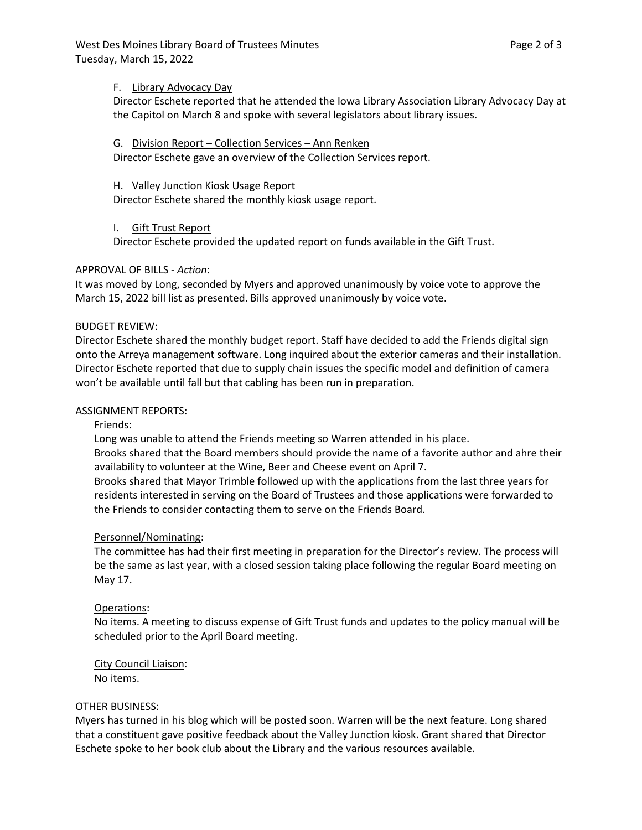West Des Moines Library Board of Trustees Minutes **Page 2 of 3** and 2 of 3 Tuesday, March 15, 2022

#### F. Library Advocacy Day

Director Eschete reported that he attended the Iowa Library Association Library Advocacy Day at the Capitol on March 8 and spoke with several legislators about library issues.

## G. Division Report – Collection Services – Ann Renken

Director Eschete gave an overview of the Collection Services report.

## H. Valley Junction Kiosk Usage Report

Director Eschete shared the monthly kiosk usage report.

## I. Gift Trust Report

Director Eschete provided the updated report on funds available in the Gift Trust.

## APPROVAL OF BILLS - *Action*:

It was moved by Long, seconded by Myers and approved unanimously by voice vote to approve the March 15, 2022 bill list as presented. Bills approved unanimously by voice vote.

## BUDGET REVIEW:

Director Eschete shared the monthly budget report. Staff have decided to add the Friends digital sign onto the Arreya management software. Long inquired about the exterior cameras and their installation. Director Eschete reported that due to supply chain issues the specific model and definition of camera won't be available until fall but that cabling has been run in preparation.

## ASSIGNMENT REPORTS:

## Friends:

Long was unable to attend the Friends meeting so Warren attended in his place. Brooks shared that the Board members should provide the name of a favorite author and ahre their availability to volunteer at the Wine, Beer and Cheese event on April 7. Brooks shared that Mayor Trimble followed up with the applications from the last three years for residents interested in serving on the Board of Trustees and those applications were forwarded to

the Friends to consider contacting them to serve on the Friends Board.

## Personnel/Nominating:

The committee has had their first meeting in preparation for the Director's review. The process will be the same as last year, with a closed session taking place following the regular Board meeting on May 17.

## Operations:

No items. A meeting to discuss expense of Gift Trust funds and updates to the policy manual will be scheduled prior to the April Board meeting.

# City Council Liaison:

No items.

## OTHER BUSINESS:

Myers has turned in his blog which will be posted soon. Warren will be the next feature. Long shared that a constituent gave positive feedback about the Valley Junction kiosk. Grant shared that Director Eschete spoke to her book club about the Library and the various resources available.